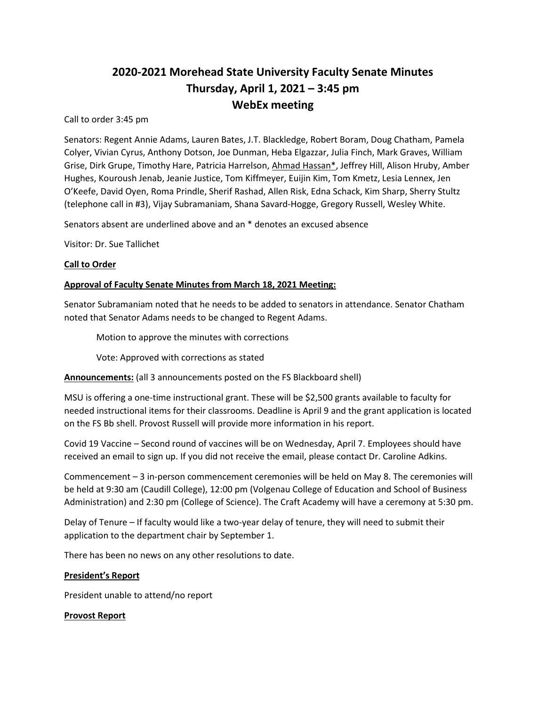# **2020-2021 Morehead State University Faculty Senate Minutes Thursday, April 1, 2021 – 3:45 pm WebEx meeting**

Call to order 3:45 pm

Senators: Regent Annie Adams, Lauren Bates, J.T. Blackledge, Robert Boram, Doug Chatham, Pamela Colyer, Vivian Cyrus, Anthony Dotson, Joe Dunman, Heba Elgazzar, Julia Finch, Mark Graves, William Grise, Dirk Grupe, Timothy Hare, Patricia Harrelson, Ahmad Hassan\*, Jeffrey Hill, Alison Hruby, Amber Hughes, Kouroush Jenab, Jeanie Justice, Tom Kiffmeyer, Euijin Kim, Tom Kmetz, Lesia Lennex, Jen O'Keefe, David Oyen, Roma Prindle, Sherif Rashad, Allen Risk, Edna Schack, Kim Sharp, Sherry Stultz (telephone call in #3), Vijay Subramaniam, Shana Savard-Hogge, Gregory Russell, Wesley White.

Senators absent are underlined above and an \* denotes an excused absence

Visitor: Dr. Sue Tallichet

# **Call to Order**

# **Approval of Faculty Senate Minutes from March 18, 2021 Meeting:**

Senator Subramaniam noted that he needs to be added to senators in attendance. Senator Chatham noted that Senator Adams needs to be changed to Regent Adams.

Motion to approve the minutes with corrections

Vote: Approved with corrections as stated

**Announcements:** (all 3 announcements posted on the FS Blackboard shell)

MSU is offering a one-time instructional grant. These will be \$2,500 grants available to faculty for needed instructional items for their classrooms. Deadline is April 9 and the grant application is located on the FS Bb shell. Provost Russell will provide more information in his report.

Covid 19 Vaccine – Second round of vaccines will be on Wednesday, April 7. Employees should have received an email to sign up. If you did not receive the email, please contact Dr. Caroline Adkins.

Commencement – 3 in-person commencement ceremonies will be held on May 8. The ceremonies will be held at 9:30 am (Caudill College), 12:00 pm (Volgenau College of Education and School of Business Administration) and 2:30 pm (College of Science). The Craft Academy will have a ceremony at 5:30 pm.

Delay of Tenure – If faculty would like a two-year delay of tenure, they will need to submit their application to the department chair by September 1.

There has been no news on any other resolutions to date.

#### **President's Report**

President unable to attend/no report

#### **Provost Report**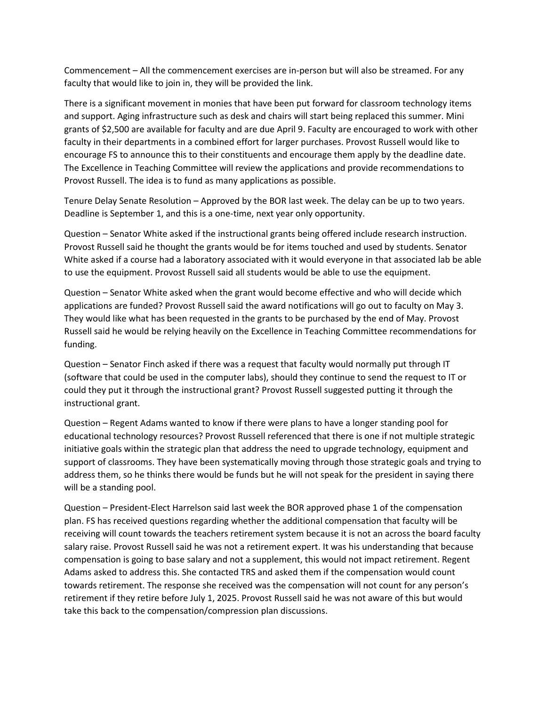Commencement – All the commencement exercises are in-person but will also be streamed. For any faculty that would like to join in, they will be provided the link.

There is a significant movement in monies that have been put forward for classroom technology items and support. Aging infrastructure such as desk and chairs will start being replaced this summer. Mini grants of \$2,500 are available for faculty and are due April 9. Faculty are encouraged to work with other faculty in their departments in a combined effort for larger purchases. Provost Russell would like to encourage FS to announce this to their constituents and encourage them apply by the deadline date. The Excellence in Teaching Committee will review the applications and provide recommendations to Provost Russell. The idea is to fund as many applications as possible.

Tenure Delay Senate Resolution – Approved by the BOR last week. The delay can be up to two years. Deadline is September 1, and this is a one-time, next year only opportunity.

Question – Senator White asked if the instructional grants being offered include research instruction. Provost Russell said he thought the grants would be for items touched and used by students. Senator White asked if a course had a laboratory associated with it would everyone in that associated lab be able to use the equipment. Provost Russell said all students would be able to use the equipment.

Question – Senator White asked when the grant would become effective and who will decide which applications are funded? Provost Russell said the award notifications will go out to faculty on May 3. They would like what has been requested in the grants to be purchased by the end of May. Provost Russell said he would be relying heavily on the Excellence in Teaching Committee recommendations for funding.

Question – Senator Finch asked if there was a request that faculty would normally put through IT (software that could be used in the computer labs), should they continue to send the request to IT or could they put it through the instructional grant? Provost Russell suggested putting it through the instructional grant.

Question – Regent Adams wanted to know if there were plans to have a longer standing pool for educational technology resources? Provost Russell referenced that there is one if not multiple strategic initiative goals within the strategic plan that address the need to upgrade technology, equipment and support of classrooms. They have been systematically moving through those strategic goals and trying to address them, so he thinks there would be funds but he will not speak for the president in saying there will be a standing pool.

Question – President-Elect Harrelson said last week the BOR approved phase 1 of the compensation plan. FS has received questions regarding whether the additional compensation that faculty will be receiving will count towards the teachers retirement system because it is not an across the board faculty salary raise. Provost Russell said he was not a retirement expert. It was his understanding that because compensation is going to base salary and not a supplement, this would not impact retirement. Regent Adams asked to address this. She contacted TRS and asked them if the compensation would count towards retirement. The response she received was the compensation will not count for any person's retirement if they retire before July 1, 2025. Provost Russell said he was not aware of this but would take this back to the compensation/compression plan discussions.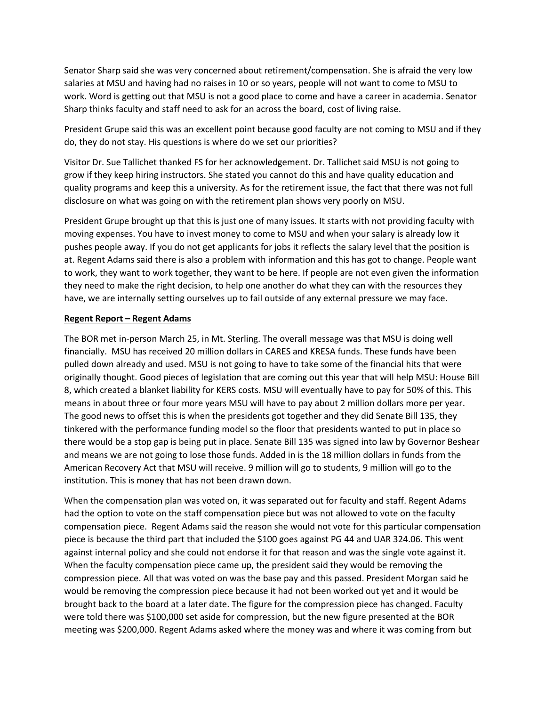Senator Sharp said she was very concerned about retirement/compensation. She is afraid the very low salaries at MSU and having had no raises in 10 or so years, people will not want to come to MSU to work. Word is getting out that MSU is not a good place to come and have a career in academia. Senator Sharp thinks faculty and staff need to ask for an across the board, cost of living raise.

President Grupe said this was an excellent point because good faculty are not coming to MSU and if they do, they do not stay. His questions is where do we set our priorities?

Visitor Dr. Sue Tallichet thanked FS for her acknowledgement. Dr. Tallichet said MSU is not going to grow if they keep hiring instructors. She stated you cannot do this and have quality education and quality programs and keep this a university. As for the retirement issue, the fact that there was not full disclosure on what was going on with the retirement plan shows very poorly on MSU.

President Grupe brought up that this is just one of many issues. It starts with not providing faculty with moving expenses. You have to invest money to come to MSU and when your salary is already low it pushes people away. If you do not get applicants for jobs it reflects the salary level that the position is at. Regent Adams said there is also a problem with information and this has got to change. People want to work, they want to work together, they want to be here. If people are not even given the information they need to make the right decision, to help one another do what they can with the resources they have, we are internally setting ourselves up to fail outside of any external pressure we may face.

#### **Regent Report – Regent Adams**

The BOR met in-person March 25, in Mt. Sterling. The overall message was that MSU is doing well financially. MSU has received 20 million dollars in CARES and KRESA funds. These funds have been pulled down already and used. MSU is not going to have to take some of the financial hits that were originally thought. Good pieces of legislation that are coming out this year that will help MSU: House Bill 8, which created a blanket liability for KERS costs. MSU will eventually have to pay for 50% of this. This means in about three or four more years MSU will have to pay about 2 million dollars more per year. The good news to offset this is when the presidents got together and they did Senate Bill 135, they tinkered with the performance funding model so the floor that presidents wanted to put in place so there would be a stop gap is being put in place. Senate Bill 135 was signed into law by Governor Beshear and means we are not going to lose those funds. Added in is the 18 million dollars in funds from the American Recovery Act that MSU will receive. 9 million will go to students, 9 million will go to the institution. This is money that has not been drawn down.

When the compensation plan was voted on, it was separated out for faculty and staff. Regent Adams had the option to vote on the staff compensation piece but was not allowed to vote on the faculty compensation piece. Regent Adams said the reason she would not vote for this particular compensation piece is because the third part that included the \$100 goes against PG 44 and UAR 324.06. This went against internal policy and she could not endorse it for that reason and was the single vote against it. When the faculty compensation piece came up, the president said they would be removing the compression piece. All that was voted on was the base pay and this passed. President Morgan said he would be removing the compression piece because it had not been worked out yet and it would be brought back to the board at a later date. The figure for the compression piece has changed. Faculty were told there was \$100,000 set aside for compression, but the new figure presented at the BOR meeting was \$200,000. Regent Adams asked where the money was and where it was coming from but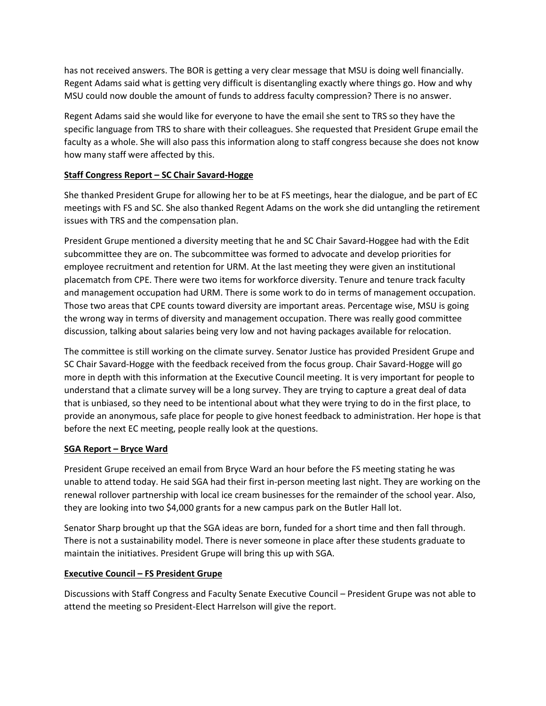has not received answers. The BOR is getting a very clear message that MSU is doing well financially. Regent Adams said what is getting very difficult is disentangling exactly where things go. How and why MSU could now double the amount of funds to address faculty compression? There is no answer.

Regent Adams said she would like for everyone to have the email she sent to TRS so they have the specific language from TRS to share with their colleagues. She requested that President Grupe email the faculty as a whole. She will also pass this information along to staff congress because she does not know how many staff were affected by this.

# **Staff Congress Report – SC Chair Savard-Hogge**

She thanked President Grupe for allowing her to be at FS meetings, hear the dialogue, and be part of EC meetings with FS and SC. She also thanked Regent Adams on the work she did untangling the retirement issues with TRS and the compensation plan.

President Grupe mentioned a diversity meeting that he and SC Chair Savard-Hoggee had with the Edit subcommittee they are on. The subcommittee was formed to advocate and develop priorities for employee recruitment and retention for URM. At the last meeting they were given an institutional placematch from CPE. There were two items for workforce diversity. Tenure and tenure track faculty and management occupation had URM. There is some work to do in terms of management occupation. Those two areas that CPE counts toward diversity are important areas. Percentage wise, MSU is going the wrong way in terms of diversity and management occupation. There was really good committee discussion, talking about salaries being very low and not having packages available for relocation.

The committee is still working on the climate survey. Senator Justice has provided President Grupe and SC Chair Savard-Hogge with the feedback received from the focus group. Chair Savard-Hogge will go more in depth with this information at the Executive Council meeting. It is very important for people to understand that a climate survey will be a long survey. They are trying to capture a great deal of data that is unbiased, so they need to be intentional about what they were trying to do in the first place, to provide an anonymous, safe place for people to give honest feedback to administration. Her hope is that before the next EC meeting, people really look at the questions.

# **SGA Report – Bryce Ward**

President Grupe received an email from Bryce Ward an hour before the FS meeting stating he was unable to attend today. He said SGA had their first in-person meeting last night. They are working on the renewal rollover partnership with local ice cream businesses for the remainder of the school year. Also, they are looking into two \$4,000 grants for a new campus park on the Butler Hall lot.

Senator Sharp brought up that the SGA ideas are born, funded for a short time and then fall through. There is not a sustainability model. There is never someone in place after these students graduate to maintain the initiatives. President Grupe will bring this up with SGA.

#### **Executive Council – FS President Grupe**

Discussions with Staff Congress and Faculty Senate Executive Council – President Grupe was not able to attend the meeting so President-Elect Harrelson will give the report.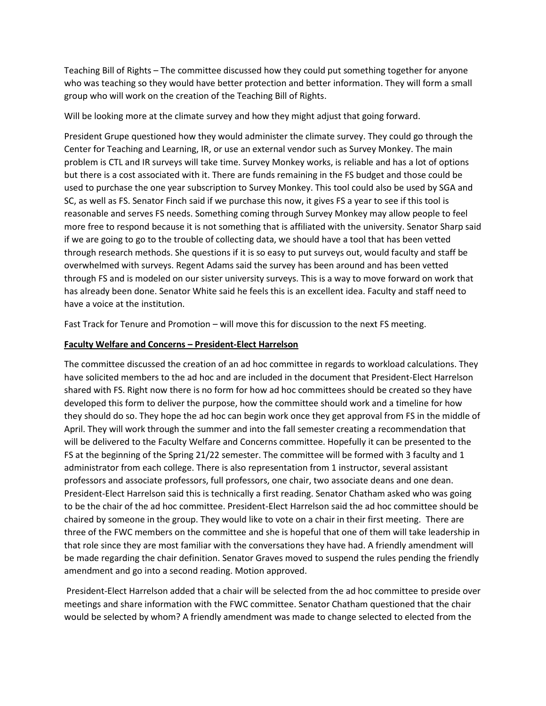Teaching Bill of Rights – The committee discussed how they could put something together for anyone who was teaching so they would have better protection and better information. They will form a small group who will work on the creation of the Teaching Bill of Rights.

Will be looking more at the climate survey and how they might adjust that going forward.

President Grupe questioned how they would administer the climate survey. They could go through the Center for Teaching and Learning, IR, or use an external vendor such as Survey Monkey. The main problem is CTL and IR surveys will take time. Survey Monkey works, is reliable and has a lot of options but there is a cost associated with it. There are funds remaining in the FS budget and those could be used to purchase the one year subscription to Survey Monkey. This tool could also be used by SGA and SC, as well as FS. Senator Finch said if we purchase this now, it gives FS a year to see if this tool is reasonable and serves FS needs. Something coming through Survey Monkey may allow people to feel more free to respond because it is not something that is affiliated with the university. Senator Sharp said if we are going to go to the trouble of collecting data, we should have a tool that has been vetted through research methods. She questions if it is so easy to put surveys out, would faculty and staff be overwhelmed with surveys. Regent Adams said the survey has been around and has been vetted through FS and is modeled on our sister university surveys. This is a way to move forward on work that has already been done. Senator White said he feels this is an excellent idea. Faculty and staff need to have a voice at the institution.

Fast Track for Tenure and Promotion – will move this for discussion to the next FS meeting.

# **Faculty Welfare and Concerns – President-Elect Harrelson**

The committee discussed the creation of an ad hoc committee in regards to workload calculations. They have solicited members to the ad hoc and are included in the document that President-Elect Harrelson shared with FS. Right now there is no form for how ad hoc committees should be created so they have developed this form to deliver the purpose, how the committee should work and a timeline for how they should do so. They hope the ad hoc can begin work once they get approval from FS in the middle of April. They will work through the summer and into the fall semester creating a recommendation that will be delivered to the Faculty Welfare and Concerns committee. Hopefully it can be presented to the FS at the beginning of the Spring 21/22 semester. The committee will be formed with 3 faculty and 1 administrator from each college. There is also representation from 1 instructor, several assistant professors and associate professors, full professors, one chair, two associate deans and one dean. President-Elect Harrelson said this is technically a first reading. Senator Chatham asked who was going to be the chair of the ad hoc committee. President-Elect Harrelson said the ad hoc committee should be chaired by someone in the group. They would like to vote on a chair in their first meeting. There are three of the FWC members on the committee and she is hopeful that one of them will take leadership in that role since they are most familiar with the conversations they have had. A friendly amendment will be made regarding the chair definition. Senator Graves moved to suspend the rules pending the friendly amendment and go into a second reading. Motion approved.

President-Elect Harrelson added that a chair will be selected from the ad hoc committee to preside over meetings and share information with the FWC committee. Senator Chatham questioned that the chair would be selected by whom? A friendly amendment was made to change selected to elected from the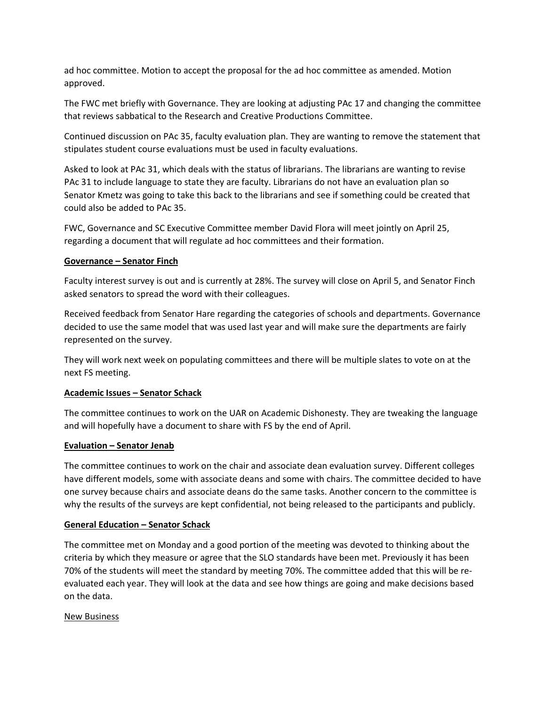ad hoc committee. Motion to accept the proposal for the ad hoc committee as amended. Motion approved.

The FWC met briefly with Governance. They are looking at adjusting PAc 17 and changing the committee that reviews sabbatical to the Research and Creative Productions Committee.

Continued discussion on PAc 35, faculty evaluation plan. They are wanting to remove the statement that stipulates student course evaluations must be used in faculty evaluations.

Asked to look at PAc 31, which deals with the status of librarians. The librarians are wanting to revise PAc 31 to include language to state they are faculty. Librarians do not have an evaluation plan so Senator Kmetz was going to take this back to the librarians and see if something could be created that could also be added to PAc 35.

FWC, Governance and SC Executive Committee member David Flora will meet jointly on April 25, regarding a document that will regulate ad hoc committees and their formation.

# **Governance – Senator Finch**

Faculty interest survey is out and is currently at 28%. The survey will close on April 5, and Senator Finch asked senators to spread the word with their colleagues.

Received feedback from Senator Hare regarding the categories of schools and departments. Governance decided to use the same model that was used last year and will make sure the departments are fairly represented on the survey.

They will work next week on populating committees and there will be multiple slates to vote on at the next FS meeting.

#### **Academic Issues – Senator Schack**

The committee continues to work on the UAR on Academic Dishonesty. They are tweaking the language and will hopefully have a document to share with FS by the end of April.

#### **Evaluation – Senator Jenab**

The committee continues to work on the chair and associate dean evaluation survey. Different colleges have different models, some with associate deans and some with chairs. The committee decided to have one survey because chairs and associate deans do the same tasks. Another concern to the committee is why the results of the surveys are kept confidential, not being released to the participants and publicly.

#### **General Education – Senator Schack**

The committee met on Monday and a good portion of the meeting was devoted to thinking about the criteria by which they measure or agree that the SLO standards have been met. Previously it has been 70% of the students will meet the standard by meeting 70%. The committee added that this will be reevaluated each year. They will look at the data and see how things are going and make decisions based on the data.

#### New Business